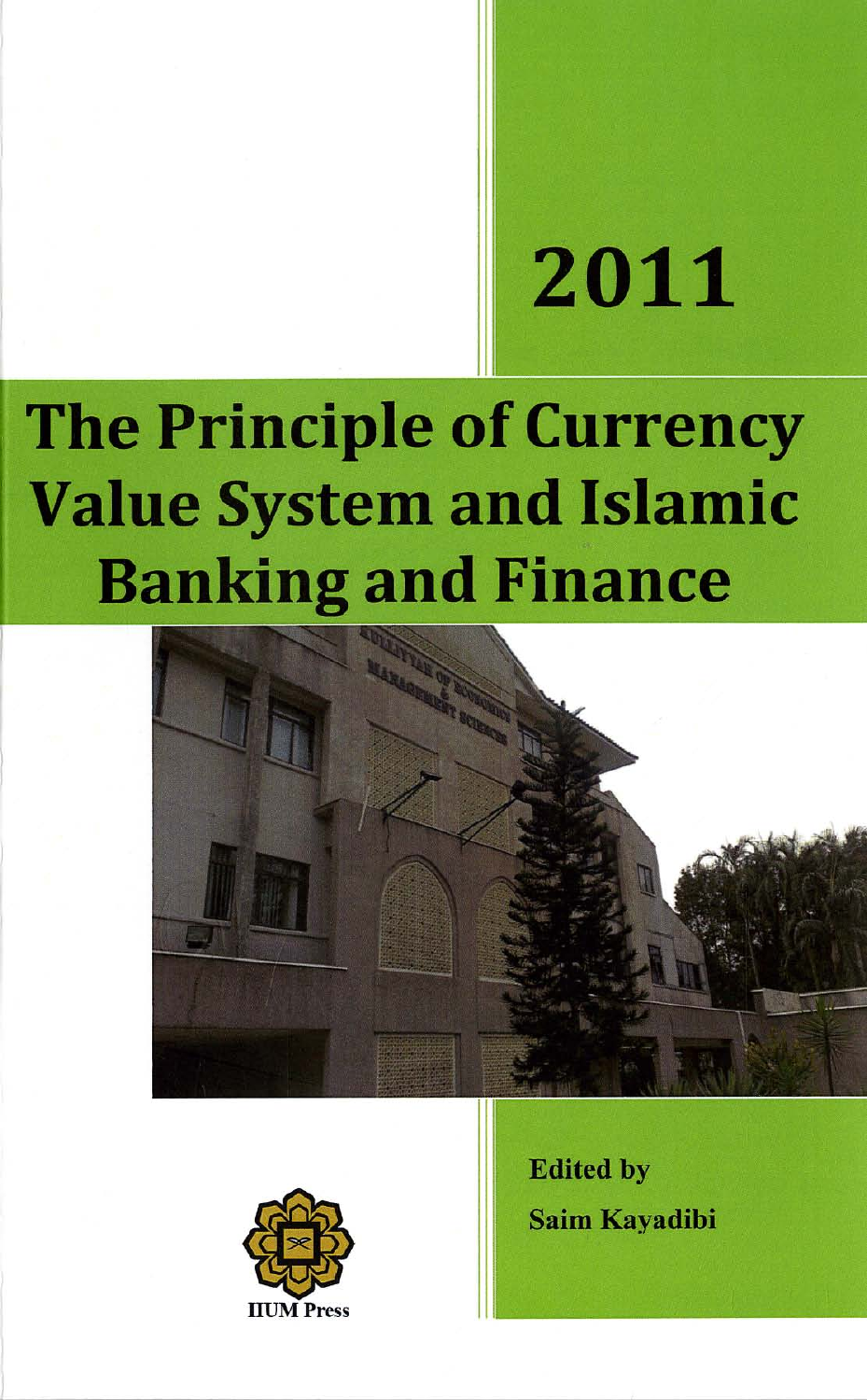# 2011

# **The Principle of Currency Value System and Islamic Banking and Finance**





**Edited by Saim Kavadibi**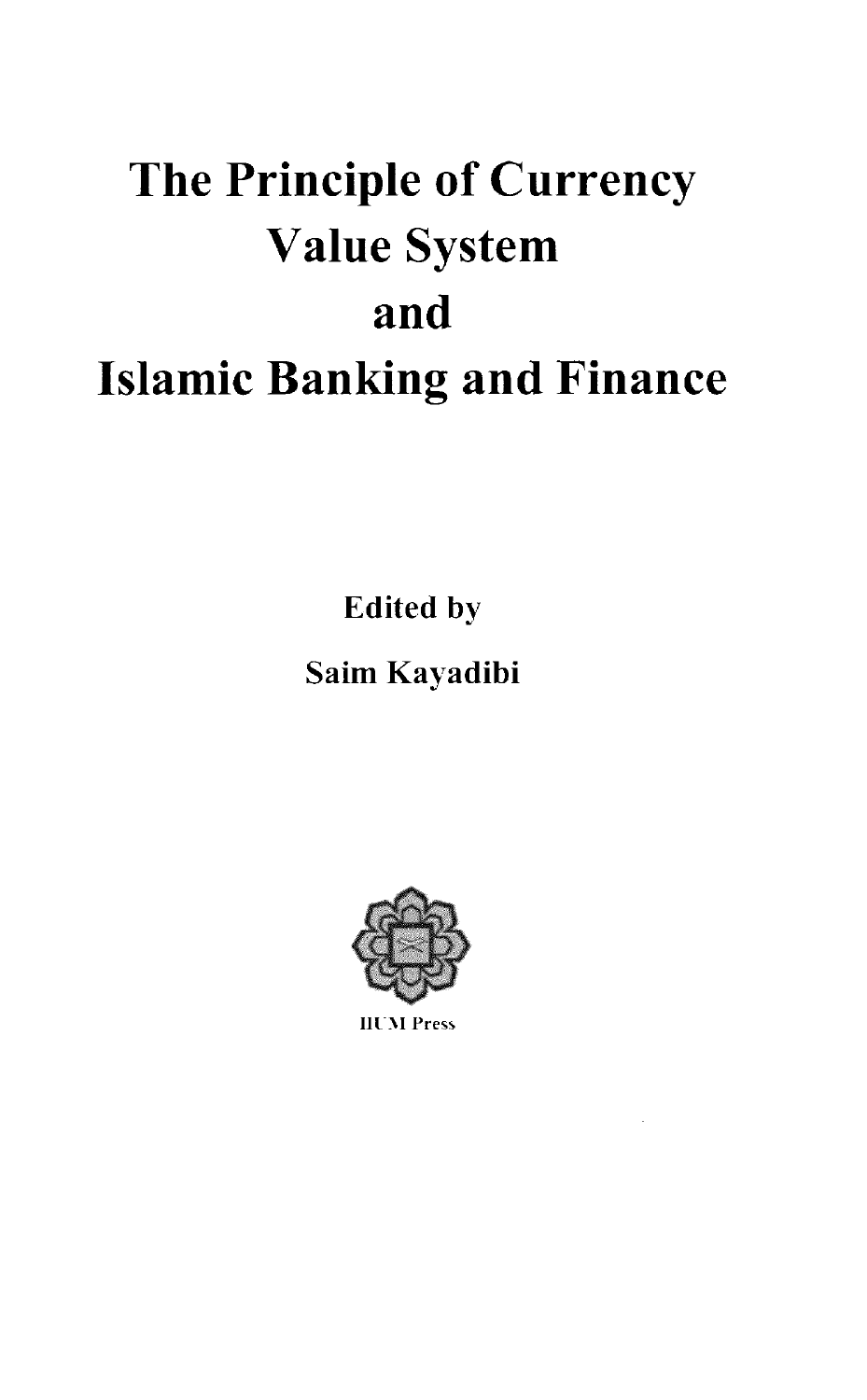# The Principle of Currency **Value System** and **Islamic Banking and Finance**

**Edited by** 

## Saim Kayadibi



**IIUM** Press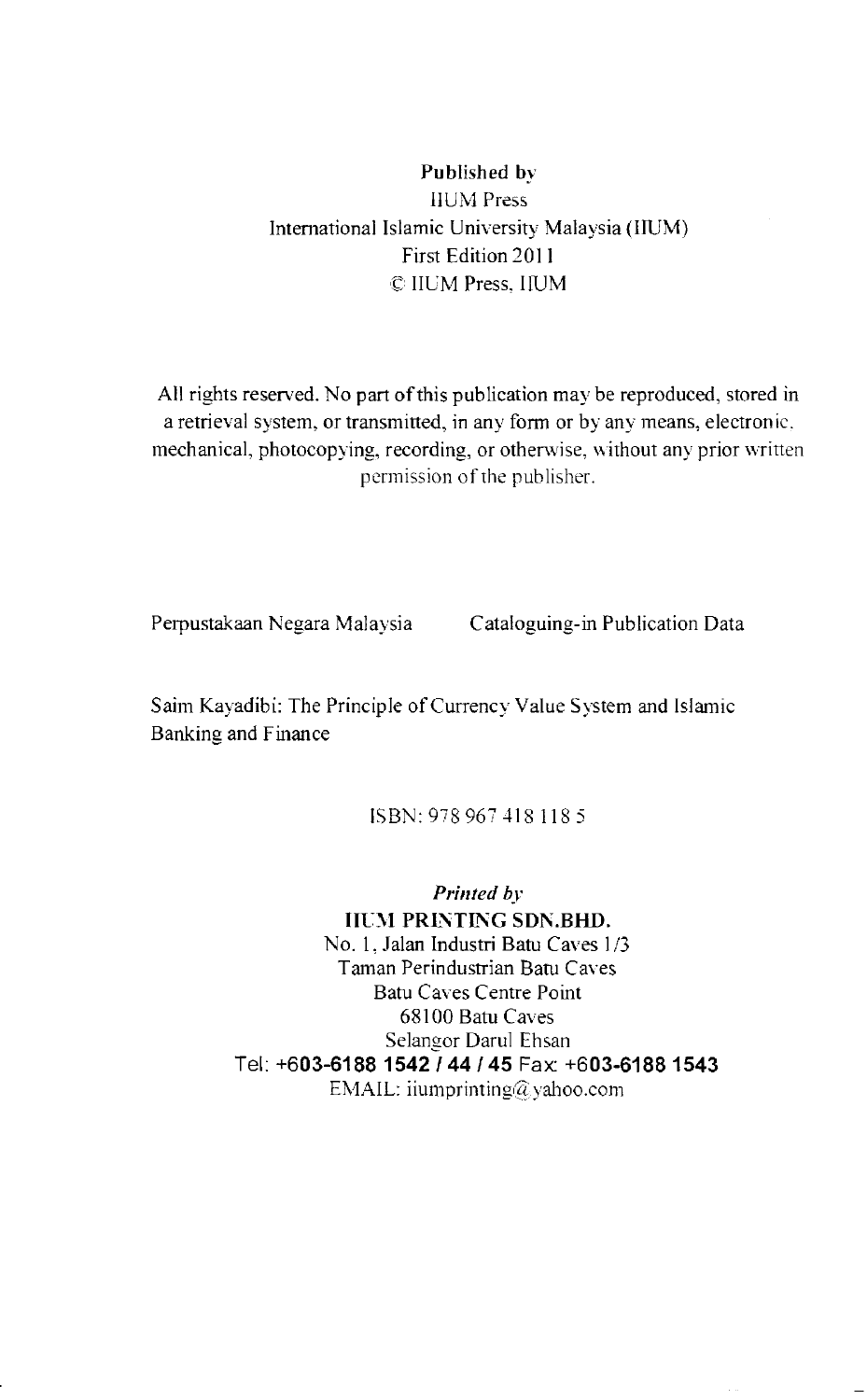#### Published by **IIUM** Press International Islamic University Malaysia (IIUM) First Edition 2011 C IIUM Press, IIUM

All rights reserved. No part of this publication may be reproduced, stored in a retrieval system, or transmitted, in any form or by any means, electronic. mechanical, photocopying, recording, or otherwise, without any prior written permission of the publisher.

Perpustakaan Negara Malaysia Cataloguing-in Publication Data

Saim Kayadibi: The Principle of Currency Value System and Islamic Banking and Finance

ISBN: 978 967 418 118 5

Printed by **IIUM PRINTING SDN.BHD.** No. 1. Jalan Industri Batu Caves 1/3 Taman Perindustrian Batu Caves **Batu Caves Centre Point** 68100 Batu Caves Selangor Darul Ehsan Tel: +603-6188 1542 / 44 / 45 Fax: +603-6188 1543 EMAIL: iiumprinting@yahoo.com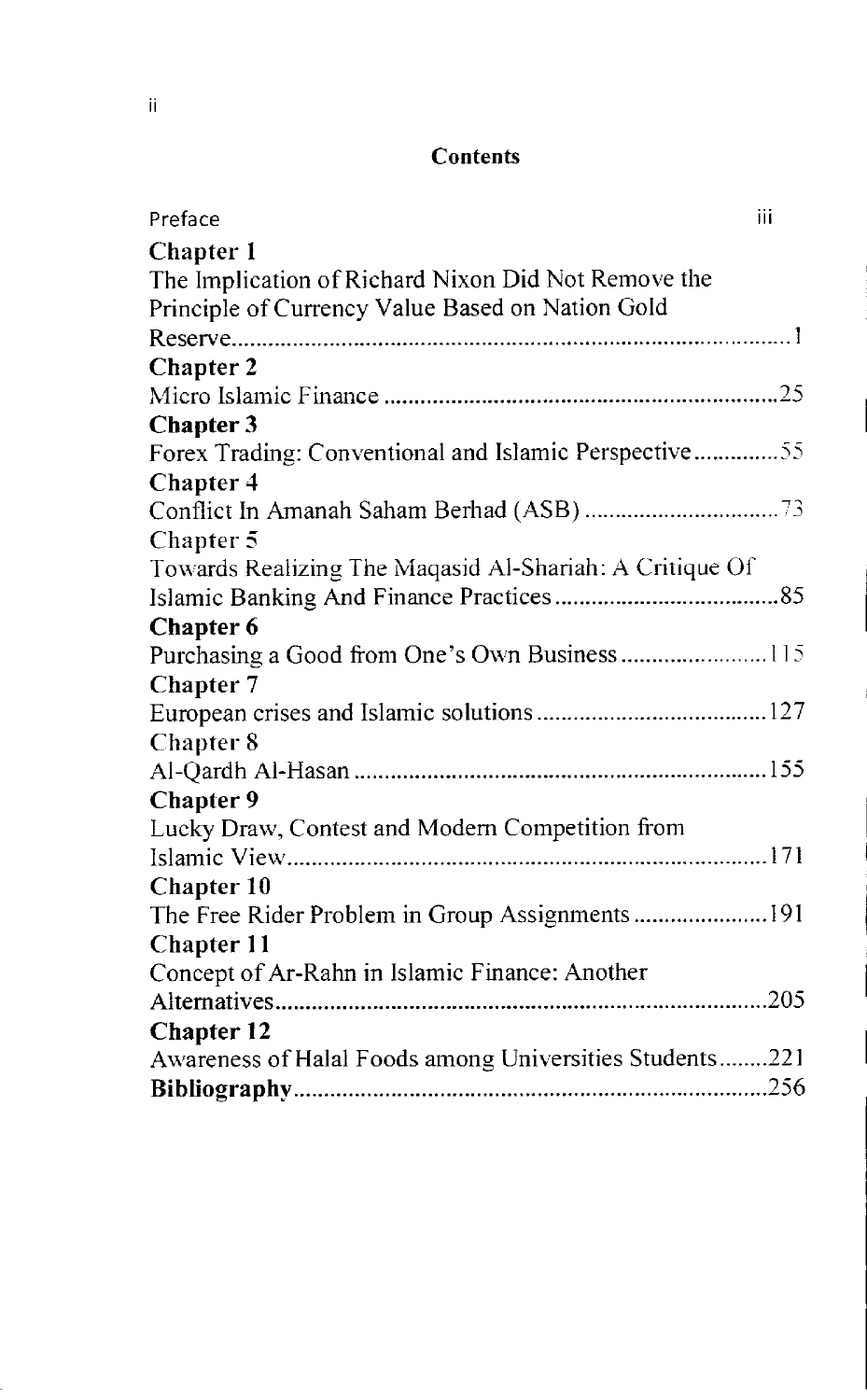#### Contents

| iii<br>Preface                                          |  |
|---------------------------------------------------------|--|
| <b>Chapter 1</b>                                        |  |
| The Implication of Richard Nixon Did Not Remove the     |  |
| Principle of Currency Value Based on Nation Gold        |  |
|                                                         |  |
| <b>Chapter 2</b>                                        |  |
|                                                         |  |
| <b>Chapter 3</b>                                        |  |
| Forex Trading: Conventional and Islamic Perspective55   |  |
| <b>Chapter 4</b>                                        |  |
|                                                         |  |
| Chapter 5                                               |  |
| Towards Realizing The Maqasid Al-Shariah: A Critique Of |  |
|                                                         |  |
| <b>Chapter 6</b>                                        |  |
| Purchasing a Good from One's Own Business115            |  |
| <b>Chapter 7</b>                                        |  |
|                                                         |  |
| Chapter 8                                               |  |
|                                                         |  |
| Chapter 9                                               |  |
| Lucky Draw, Contest and Modern Competition from         |  |
|                                                         |  |
| <b>Chapter 10</b>                                       |  |
| The Free Rider Problem in Group Assignments  191        |  |
| Chapter 11                                              |  |
| Concept of Ar-Rahn in Islamic Finance: Another          |  |
|                                                         |  |
| Chapter 12                                              |  |
| Awareness of Halal Foods among Universities Students221 |  |
|                                                         |  |